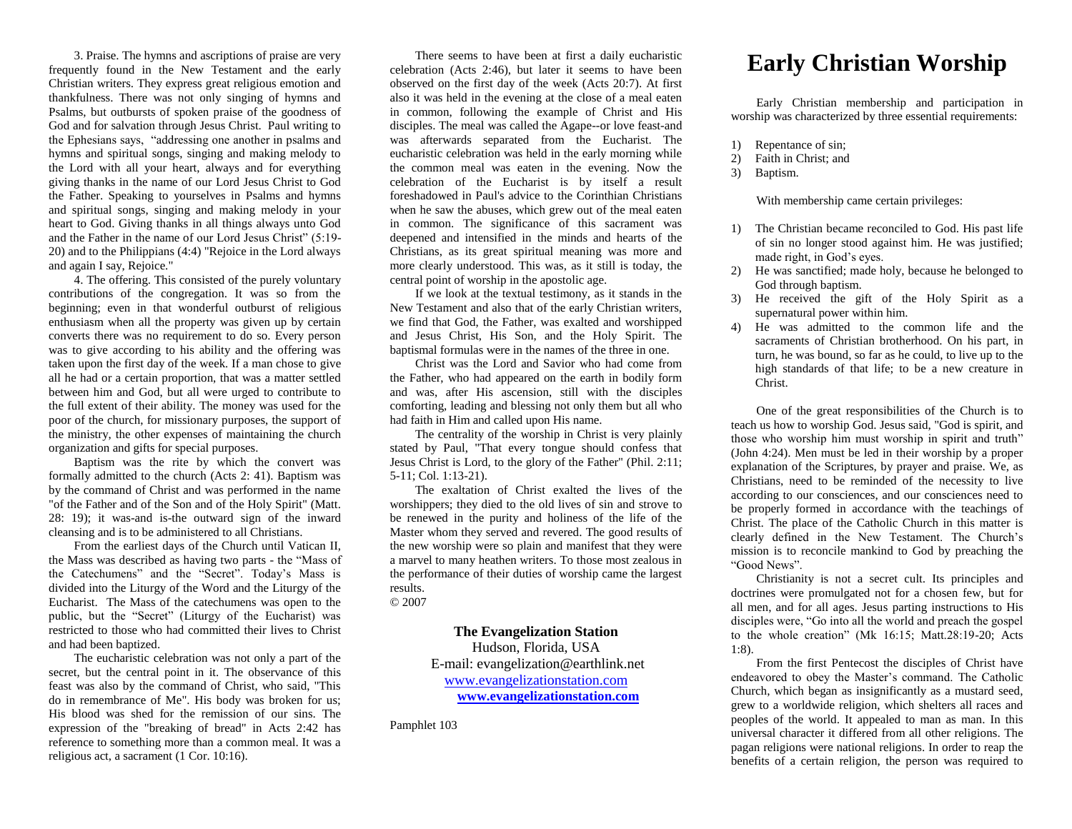3. Praise. The hymns and ascriptions of praise are very frequently found in the New Testament and the early Christian writers. They express great religious emotion and thankfulness. There was not only singing of hymns and Psalms, but outbursts of spoken praise of the goodness of God and for salvation through Jesus Christ. Paul writing to the Ephesians says, "addressing one another in psalms and hymns and spiritual songs, singing and making melody to the Lord with all your heart, always and for everything giving thanks in the name of our Lord Jesus Christ to God the Father. Speaking to yourselves in Psalms and hymns and spiritual songs, singing and making melody in your heart to God. Giving thanks in all things always unto God and the Father in the name of our Lord Jesus Christ" (5:19- 20) and to the Philippians (4:4) "Rejoice in the Lord always and again I say, Rejoice."

4. The offering. This consisted of the purely voluntary contributions of the congregation. It was so from the beginning; even in that wonderful outburst of religious enthusiasm when all the property was given up by certain converts there was no requirement to do so. Every person was to give according to his ability and the offering was taken upon the first day of the week. If a man chose to give all he had or a certain proportion, that was a matter settled between him and God, but all were urged to contribute to the full extent of their ability. The money was used for the poor of the church, for missionary purposes, the support of the ministry, the other expenses of maintaining the church organization and gifts for special purposes.

Baptism was the rite by which the convert was formally admitted to the church (Acts 2: 41). Baptism was by the command of Christ and was performed in the name "of the Father and of the Son and of the Holy Spirit" (Matt. 28: 19); it was-and is-the outward sign of the inward cleansing and is to be administered to all Christians.

From the earliest days of the Church until Vatican II, the Mass was described as having two parts - the "Mass of the Catechumens" and the "Secret". Today's Mass is divided into the Liturgy of the Word and the Liturgy of the Eucharist. The Mass of the catechumens was open to the public, but the "Secret" (Liturgy of the Eucharist) was restricted to those who had committed their lives to Christ and had been baptized.

The eucharistic celebration was not only a part of the secret, but the central point in it. The observance of this feast was also by the command of Christ, who said, "This do in remembrance of Me". His body was broken for us; His blood was shed for the remission of our sins. The expression of the "breaking of bread" in Acts 2:42 has reference to something more than a common meal. It was a religious act, a sacrament (1 Cor. 10:16).

There seems to have been at first a daily eucharistic celebration (Acts 2:46), but later it seems to have been observed on the first day of the week (Acts 20:7). At first also it was held in the evening at the close of a meal eaten in common, following the example of Christ and His disciples. The meal was called the Agape--or love feast-and was afterwards separated from the Eucharist. The eucharistic celebration was held in the early morning while the common meal was eaten in the evening. Now the celebration of the Eucharist is by itself a result foreshadowed in Paul's advice to the Corinthian Christians when he saw the abuses, which grew out of the meal eaten in common. The significance of this sacrament was deepened and intensified in the minds and hearts of the Christians, as its great spiritual meaning was more and more clearly understood. This was, as it still is today, the central point of worship in the apostolic age.

If we look at the textual testimony, as it stands in the New Testament and also that of the early Christian writers, we find that God, the Father, was exalted and worshipped and Jesus Christ, His Son, and the Holy Spirit. The baptismal formulas were in the names of the three in one.

Christ was the Lord and Savior who had come from the Father, who had appeared on the earth in bodily form and was, after His ascension, still with the disciples comforting, leading and blessing not only them but all who had faith in Him and called upon His name.

The centrality of the worship in Christ is very plainly stated by Paul, "That every tongue should confess that Jesus Christ is Lord, to the glory of the Father" (Phil. 2:11; 5-11; Col. 1:13-21).

The exaltation of Christ exalted the lives of the worshippers; they died to the old lives of sin and strove to be renewed in the purity and holiness of the life of the Master whom they served and revered. The good results of the new worship were so plain and manifest that they were a marvel to many heathen writers. To those most zealous in the performance of their duties of worship came the largest results. © 2007

## **The Evangelization Station**

Hudson, Florida, USA E-mail: evangelization@earthlink.net [www.evangelizationstation.com](http://www.pjpiisoe.org/) **[www.evangelizationstation.com](http://www.pjpiisoe.org/)**

Pamphlet 103

## **Early Christian Worship**

Early Christian membership and participation in worship was characterized by three essential requirements:

- 1) Repentance of sin;
- 2) Faith in Christ; and
- 3) Baptism.

## With membership came certain privileges:

- 1) The Christian became reconciled to God. His past life of sin no longer stood against him. He was justified; made right, in God's eyes.
- 2) He was sanctified; made holy, because he belonged to God through baptism.
- 3) He received the gift of the Holy Spirit as a supernatural power within him.
- 4) He was admitted to the common life and the sacraments of Christian brotherhood. On his part, in turn, he was bound, so far as he could, to live up to the high standards of that life; to be a new creature in Christ.

One of the great responsibilities of the Church is to teach us how to worship God. Jesus said, "God is spirit, and those who worship him must worship in spirit and truth" (John 4:24). Men must be led in their worship by a proper explanation of the Scriptures, by prayer and praise. We, as Christians, need to be reminded of the necessity to live according to our consciences, and our consciences need to be properly formed in accordance with the teachings of Christ. The place of the Catholic Church in this matter is clearly defined in the New Testament. The Church's mission is to reconcile mankind to God by preaching the "Good News".

Christianity is not a secret cult. Its principles and doctrines were promulgated not for a chosen few, but for all men, and for all ages. Jesus parting instructions to His disciples were, "Go into all the world and preach the gospel to the whole creation" (Mk 16:15; Matt.28:19-20; Acts 1:8).

From the first Pentecost the disciples of Christ have endeavored to obey the Master's command. The Catholic Church, which began as insignificantly as a mustard seed, grew to a worldwide religion, which shelters all races and peoples of the world. It appealed to man as man. In this universal character it differed from all other religions. The pagan religions were national religions. In order to reap the benefits of a certain religion, the person was required to